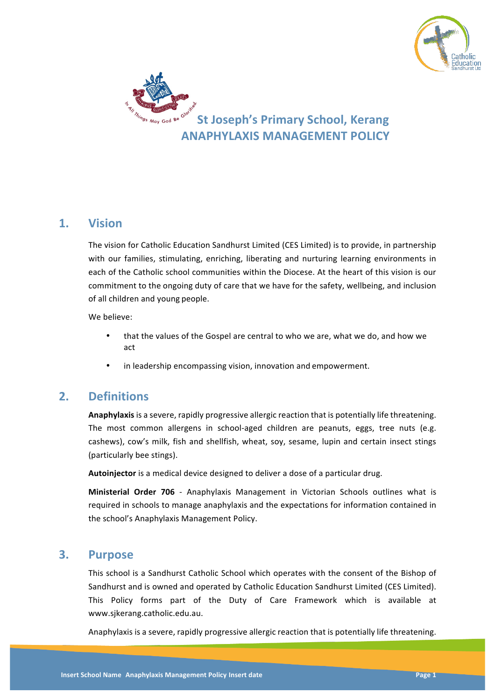



## **1. Vision**

The vision for Catholic Education Sandhurst Limited (CES Limited) is to provide, in partnership with our families, stimulating, enriching, liberating and nurturing learning environments in each of the Catholic school communities within the Diocese. At the heart of this vision is our commitment to the ongoing duty of care that we have for the safety, wellbeing, and inclusion of all children and young people.

We believe:

- that the values of the Gospel are central to who we are, what we do, and how we act
- in leadership encompassing vision, innovation and empowerment.

# **2. Definitions**

**Anaphylaxis** is a severe, rapidly progressive allergic reaction that is potentially life threatening. The most common allergens in school-aged children are peanuts, eggs, tree nuts (e.g. cashews), cow's milk, fish and shellfish, wheat, soy, sesame, lupin and certain insect stings (particularly bee stings).

**Autoinjector** is a medical device designed to deliver a dose of a particular drug.

**Ministerial Order 706** - Anaphylaxis Management in Victorian Schools outlines what is required in schools to manage anaphylaxis and the expectations for information contained in the school's Anaphylaxis Management Policy.

## **3. Purpose**

This school is a Sandhurst Catholic School which operates with the consent of the Bishop of Sandhurst and is owned and operated by Catholic Education Sandhurst Limited (CES Limited). This Policy forms part of the Duty of Care Framework which is available at www.sjkerang.catholic.edu.au.

Anaphylaxis is a severe, rapidly progressive allergic reaction that is potentially life threatening.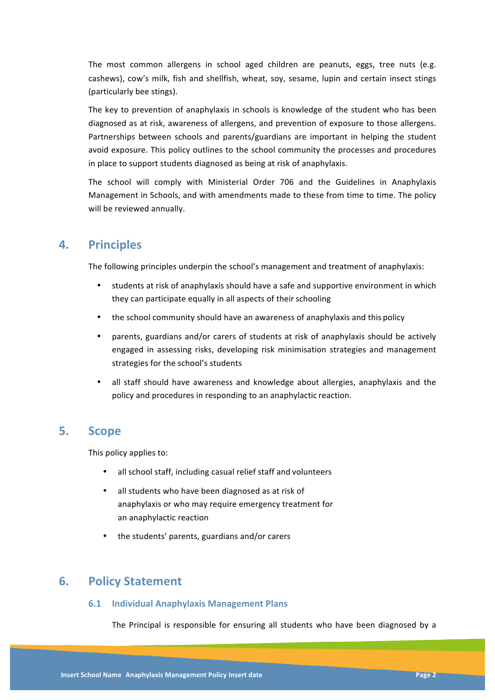The most common allergens in school aged children are peanuts, eggs, tree nuts (e.g. cashews), cow's milk, fish and shellfish, wheat, soy, sesame, lupin and certain insect stings (particularly bee stings).

The key to prevention of anaphylaxis in schools is knowledge of the student who has been diagnosed as at risk, awareness of allergens, and prevention of exposure to those allergens. Partnerships between schools and parents/guardians are important in helping the student avoid exposure. This policy outlines to the school community the processes and procedures in place to support students diagnosed as being at risk of anaphylaxis.

The school will comply with Ministerial Order 706 and the Guidelines in Anaphylaxis Management in Schools, and with amendments made to these from time to time. The policy will be reviewed annually.

# **4. Principles**

The following principles underpin the school's management and treatment of anaphylaxis:

- students at risk of anaphylaxis should have a safe and supportive environment in which they can participate equally in all aspects of their schooling
- the school community should have an awareness of anaphylaxis and this policy
- parents, guardians and/or carers of students at risk of anaphylaxis should be actively engaged in assessing risks, developing risk minimisation strategies and management strategies for the school's students
- all staff should have awareness and knowledge about allergies, anaphylaxis and the policy and procedures in responding to an anaphylactic reaction.

## **5. Scope**

This policy applies to:

- all school staff, including casual relief staff and volunteers
- all students who have been diagnosed as at risk of anaphylaxis or who may require emergency treatment for an anaphylactic reaction
- the students' parents, guardians and/or carers

## **6. Policy Statement**

### **6.1 Individual Anaphylaxis Management Plans**

The Principal is responsible for ensuring all students who have been diagnosed by a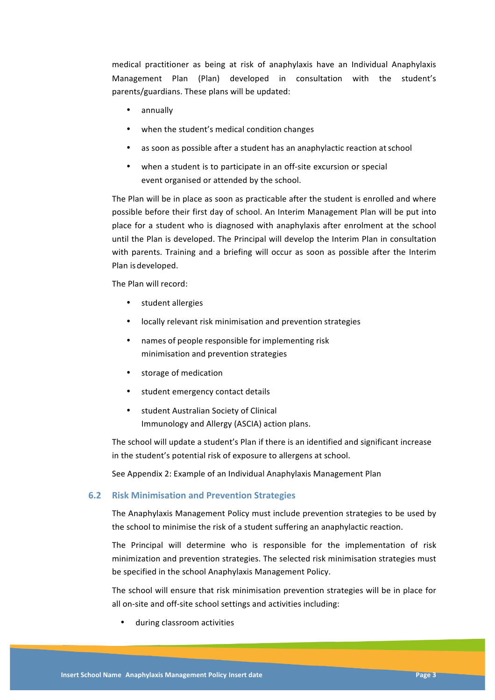medical practitioner as being at risk of anaphylaxis have an Individual Anaphylaxis Management Plan (Plan) developed in consultation with the student's parents/guardians. These plans will be updated:

- annually
- when the student's medical condition changes
- as soon as possible after a student has an anaphylactic reaction at school
- when a student is to participate in an off-site excursion or special event organised or attended by the school.

The Plan will be in place as soon as practicable after the student is enrolled and where possible before their first day of school. An Interim Management Plan will be put into place for a student who is diagnosed with anaphylaxis after enrolment at the school until the Plan is developed. The Principal will develop the Interim Plan in consultation with parents. Training and a briefing will occur as soon as possible after the Interim Plan is developed.

The Plan will record:

- student allergies
- locally relevant risk minimisation and prevention strategies
- names of people responsible for implementing risk minimisation and prevention strategies
- storage of medication
- student emergency contact details
- student Australian Society of Clinical Immunology and Allergy (ASCIA) action plans.

The school will update a student's Plan if there is an identified and significant increase in the student's potential risk of exposure to allergens at school.

See Appendix 2: Example of an Individual Anaphylaxis Management Plan

### **6.2 Risk Minimisation and Prevention Strategies**

The Anaphylaxis Management Policy must include prevention strategies to be used by the school to minimise the risk of a student suffering an anaphylactic reaction.

The Principal will determine who is responsible for the implementation of risk minimization and prevention strategies. The selected risk minimisation strategies must be specified in the school Anaphylaxis Management Policy.

The school will ensure that risk minimisation prevention strategies will be in place for all on-site and off-site school settings and activities including:

• during classroom activities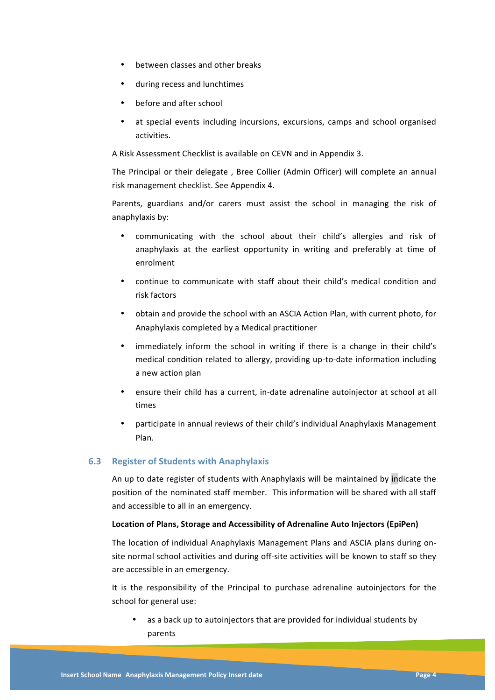- between classes and other breaks
- during recess and lunchtimes
- before and after school
- at special events including incursions, excursions, camps and school organised activities.

A Risk Assessment Checklist is available on CEVN and in Appendix 3.

The Principal or their delegate, Bree Collier (Admin Officer) will complete an annual risk management checklist. See Appendix 4.

Parents, guardians and/or carers must assist the school in managing the risk of anaphylaxis by:

- communicating with the school about their child's allergies and risk of anaphylaxis at the earliest opportunity in writing and preferably at time of enrolment
- continue to communicate with staff about their child's medical condition and risk factors
- obtain and provide the school with an ASCIA Action Plan, with current photo, for Anaphylaxis completed by a Medical practitioner
- immediately inform the school in writing if there is a change in their child's medical condition related to allergy, providing up-to-date information including a new action plan
- ensure their child has a current, in-date adrenaline autoinjector at school at all times
- participate in annual reviews of their child's individual Anaphylaxis Management Plan.

### **6.3 Register of Students with Anaphylaxis**

An up to date register of students with Anaphylaxis will be maintained by indicate the position of the nominated staff member. This information will be shared with all staff and accessible to all in an emergency.

#### Location of Plans, Storage and Accessibility of Adrenaline Auto Injectors (EpiPen)

The location of individual Anaphylaxis Management Plans and ASCIA plans during onsite normal school activities and during off-site activities will be known to staff so they are accessible in an emergency.

It is the responsibility of the Principal to purchase adrenaline autoinjectors for the school for general use:

as a back up to autoinjectors that are provided for individual students by parents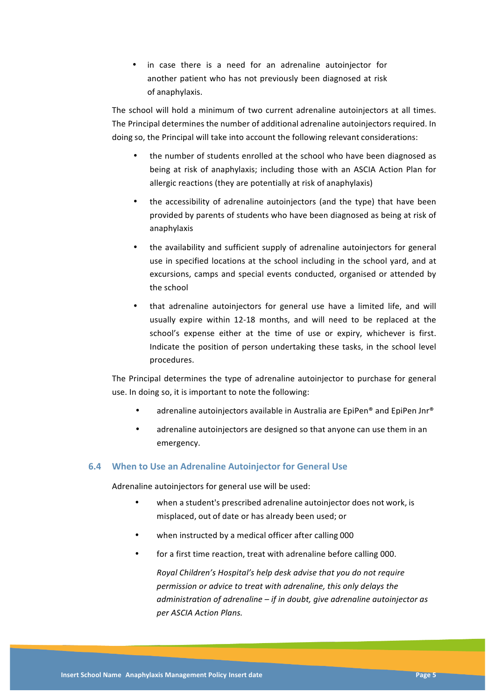• in case there is a need for an adrenaline autoinjector for another patient who has not previously been diagnosed at risk of anaphylaxis.

The school will hold a minimum of two current adrenaline autoinjectors at all times. The Principal determines the number of additional adrenaline autoinjectors required. In doing so, the Principal will take into account the following relevant considerations:

- the number of students enrolled at the school who have been diagnosed as being at risk of anaphylaxis; including those with an ASCIA Action Plan for allergic reactions (they are potentially at risk of anaphylaxis)
- the accessibility of adrenaline autoinjectors (and the type) that have been provided by parents of students who have been diagnosed as being at risk of anaphylaxis
- the availability and sufficient supply of adrenaline autoinjectors for general use in specified locations at the school including in the school yard, and at excursions, camps and special events conducted, organised or attended by the school
- that adrenaline autoinjectors for general use have a limited life, and will usually expire within 12-18 months, and will need to be replaced at the school's expense either at the time of use or expiry, whichever is first. Indicate the position of person undertaking these tasks, in the school level procedures.

The Principal determines the type of adrenaline autoinjector to purchase for general use. In doing so, it is important to note the following:

- adrenaline autoinjectors available in Australia are EpiPen® and EpiPen Jnr®
- adrenaline autoinjectors are designed so that anyone can use them in an emergency.

### **6.4 When to Use an Adrenaline Autoinjector for General Use**

Adrenaline autoinjectors for general use will be used:

- when a student's prescribed adrenaline autoinjector does not work, is misplaced, out of date or has already been used; or
- when instructed by a medical officer after calling 000
- for a first time reaction, treat with adrenaline before calling 000.

*Royal Children's Hospital's help desk advise that you do not require* permission or advice to treat with adrenaline, this only delays the administration of adrenaline – *if* in doubt, give adrenaline autoinjector as *per ASCIA Action Plans.*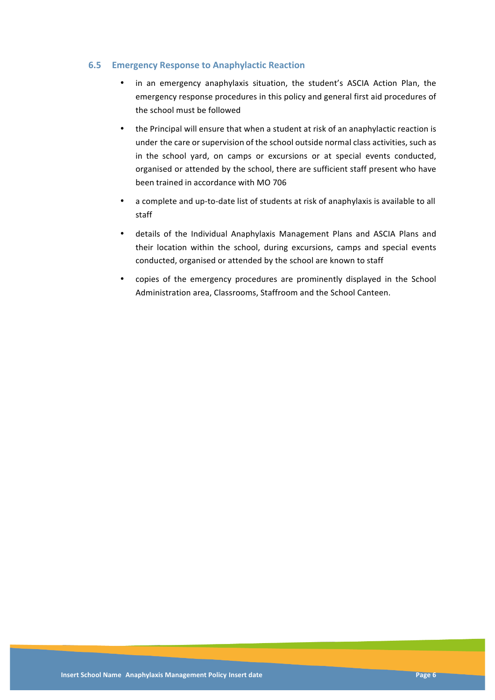### **6.5 Emergency Response to Anaphylactic Reaction**

- in an emergency anaphylaxis situation, the student's ASCIA Action Plan, the emergency response procedures in this policy and general first aid procedures of the school must be followed
- the Principal will ensure that when a student at risk of an anaphylactic reaction is under the care or supervision of the school outside normal class activities, such as in the school yard, on camps or excursions or at special events conducted, organised or attended by the school, there are sufficient staff present who have been trained in accordance with MO 706
- a complete and up-to-date list of students at risk of anaphylaxis is available to all staff
- details of the Individual Anaphylaxis Management Plans and ASCIA Plans and their location within the school, during excursions, camps and special events conducted, organised or attended by the school are known to staff
- copies of the emergency procedures are prominently displayed in the School Administration area, Classrooms, Staffroom and the School Canteen.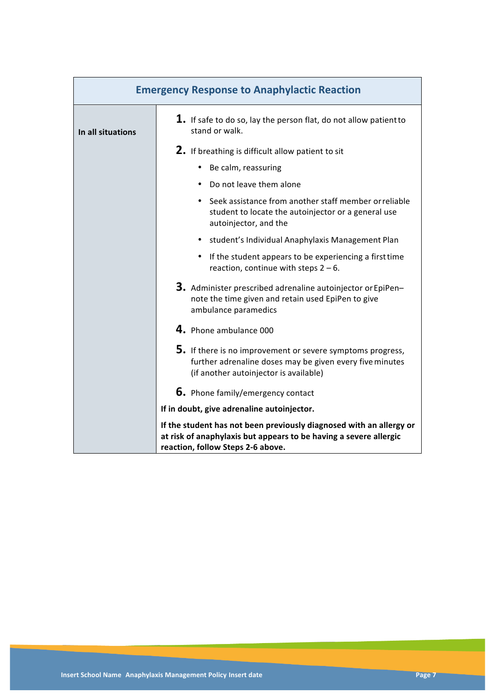| <b>Emergency Response to Anaphylactic Reaction</b> |                                                                                                                                                                               |
|----------------------------------------------------|-------------------------------------------------------------------------------------------------------------------------------------------------------------------------------|
| In all situations                                  | $1.$ If safe to do so, lay the person flat, do not allow patient to<br>stand or walk.                                                                                         |
|                                                    | 2. If breathing is difficult allow patient to sit                                                                                                                             |
|                                                    | • Be calm, reassuring                                                                                                                                                         |
|                                                    | • Do not leave them alone                                                                                                                                                     |
|                                                    | • Seek assistance from another staff member or reliable<br>student to locate the autoinjector or a general use<br>autoinjector, and the                                       |
|                                                    | • student's Individual Anaphylaxis Management Plan                                                                                                                            |
|                                                    | • If the student appears to be experiencing a first time<br>reaction, continue with steps $2 - 6$ .                                                                           |
|                                                    | 3. Administer prescribed adrenaline autoinjector or EpiPen-<br>note the time given and retain used EpiPen to give<br>ambulance paramedics                                     |
|                                                    | 4. Phone ambulance 000                                                                                                                                                        |
|                                                    | 5. If there is no improvement or severe symptoms progress,<br>further adrenaline doses may be given every five minutes<br>(if another autoinjector is available)              |
|                                                    | <b>6.</b> Phone family/emergency contact                                                                                                                                      |
|                                                    | If in doubt, give adrenaline autoinjector.                                                                                                                                    |
|                                                    | If the student has not been previously diagnosed with an allergy or<br>at risk of anaphylaxis but appears to be having a severe allergic<br>reaction, follow Steps 2-6 above. |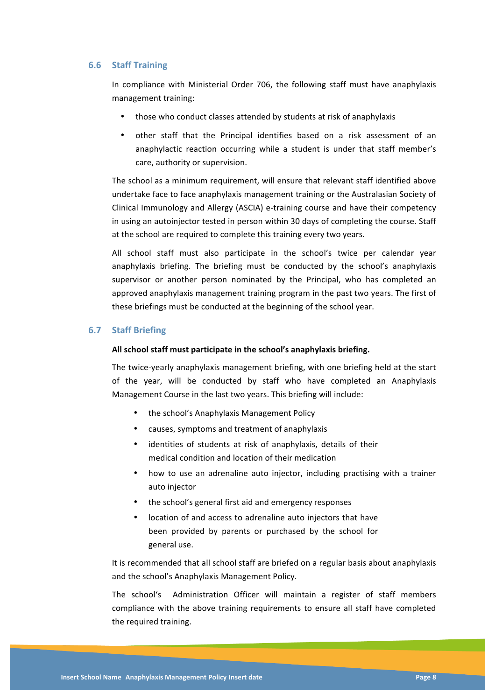#### **6.6 Staff Training**

In compliance with Ministerial Order 706, the following staff must have anaphylaxis management training:

- those who conduct classes attended by students at risk of anaphylaxis
- other staff that the Principal identifies based on a risk assessment of an anaphylactic reaction occurring while a student is under that staff member's care, authority or supervision.

The school as a minimum requirement, will ensure that relevant staff identified above undertake face to face anaphylaxis management training or the Australasian Society of Clinical Immunology and Allergy (ASCIA) e-training course and have their competency in using an autoinjector tested in person within 30 days of completing the course. Staff at the school are required to complete this training every two years.

All school staff must also participate in the school's twice per calendar year anaphylaxis briefing. The briefing must be conducted by the school's anaphylaxis supervisor or another person nominated by the Principal, who has completed an approved anaphylaxis management training program in the past two years. The first of these briefings must be conducted at the beginning of the school year.

### **6.7 Staff Briefing**

#### All school staff must participate in the school's anaphylaxis briefing.

The twice-yearly anaphylaxis management briefing, with one briefing held at the start of the year, will be conducted by staff who have completed an Anaphylaxis Management Course in the last two years. This briefing will include:

- the school's Anaphylaxis Management Policy
- causes, symptoms and treatment of anaphylaxis
- identities of students at risk of anaphylaxis, details of their medical condition and location of their medication
- how to use an adrenaline auto injector, including practising with a trainer auto injector
- the school's general first aid and emergency responses
- location of and access to adrenaline auto injectors that have been provided by parents or purchased by the school for general use.

It is recommended that all school staff are briefed on a regular basis about anaphylaxis and the school's Anaphylaxis Management Policy.

The school's Administration Officer will maintain a register of staff members compliance with the above training requirements to ensure all staff have completed the required training.